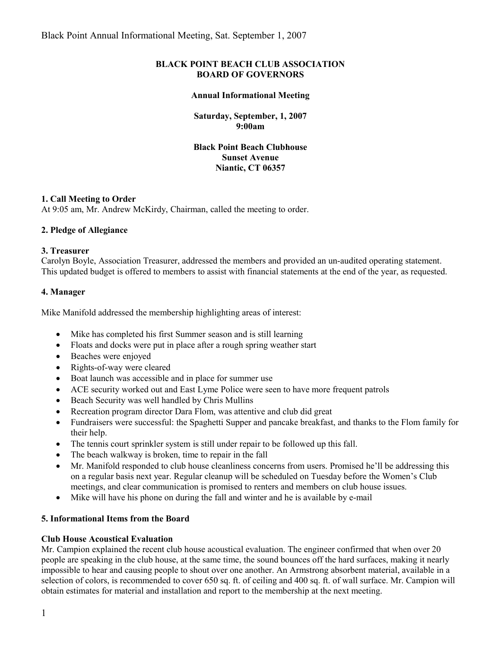### **BLACK POINT BEACH CLUB ASSOCIATION BOARD OF GOVERNORS**

#### **Annual Informational Meeting**

**Saturday, September, 1, 2007 9:00am**

**Black Point Beach Clubhouse Sunset Avenue Niantic, CT 06357**

### **1. Call Meeting to Order**

At 9:05 am, Mr. Andrew McKirdy, Chairman, called the meeting to order.

# **2. Pledge of Allegiance**

### **3. Treasurer**

Carolyn Boyle, Association Treasurer, addressed the members and provided an un-audited operating statement. This updated budget is offered to members to assist with financial statements at the end of the year, as requested.

### **4. Manager**

Mike Manifold addressed the membership highlighting areas of interest:

- Mike has completed his first Summer season and is still learning
- Floats and docks were put in place after a rough spring weather start
- Beaches were enjoyed
- Rights-of-way were cleared
- Boat launch was accessible and in place for summer use
- ACE security worked out and East Lyme Police were seen to have more frequent patrols
- Beach Security was well handled by Chris Mullins
- Recreation program director Dara Flom, was attentive and club did great
- Fundraisers were successful: the Spaghetti Supper and pancake breakfast, and thanks to the Flom family for their help.
- The tennis court sprinkler system is still under repair to be followed up this fall.
- The beach walkway is broken, time to repair in the fall
- Mr. Manifold responded to club house cleanliness concerns from users. Promised he'll be addressing this on a regular basis next year. Regular cleanup will be scheduled on Tuesday before the Women's Club meetings, and clear communication is promised to renters and members on club house issues.
- Mike will have his phone on during the fall and winter and he is available by e-mail

# **5. Informational Items from the Board**

#### **Club House Acoustical Evaluation**

Mr. Campion explained the recent club house acoustical evaluation. The engineer confirmed that when over 20 people are speaking in the club house, at the same time, the sound bounces off the hard surfaces, making it nearly impossible to hear and causing people to shout over one another. An Armstrong absorbent material, available in a selection of colors, is recommended to cover 650 sq. ft. of ceiling and 400 sq. ft. of wall surface. Mr. Campion will obtain estimates for material and installation and report to the membership at the next meeting.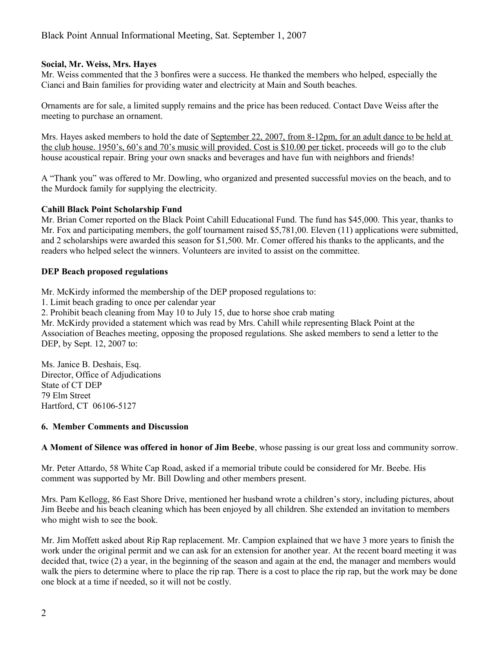### **Social, Mr. Weiss, Mrs. Hayes**

Mr. Weiss commented that the 3 bonfires were a success. He thanked the members who helped, especially the Cianci and Bain families for providing water and electricity at Main and South beaches.

Ornaments are for sale, a limited supply remains and the price has been reduced. Contact Dave Weiss after the meeting to purchase an ornament.

Mrs. Hayes asked members to hold the date of September 22, 2007, from 8-12pm, for an adult dance to be held at the club house. 1950's, 60's and 70's music will provided. Cost is \$10.00 per ticket, proceeds will go to the club house acoustical repair. Bring your own snacks and beverages and have fun with neighbors and friends!

A "Thank you" was offered to Mr. Dowling, who organized and presented successful movies on the beach, and to the Murdock family for supplying the electricity.

### **Cahill Black Point Scholarship Fund**

Mr. Brian Comer reported on the Black Point Cahill Educational Fund. The fund has \$45,000. This year, thanks to Mr. Fox and participating members, the golf tournament raised \$5,781,00. Eleven (11) applications were submitted, and 2 scholarships were awarded this season for \$1,500. Mr. Comer offered his thanks to the applicants, and the readers who helped select the winners. Volunteers are invited to assist on the committee.

### **DEP Beach proposed regulations**

Mr. McKirdy informed the membership of the DEP proposed regulations to:

1. Limit beach grading to once per calendar year

2. Prohibit beach cleaning from May 10 to July 15, due to horse shoe crab mating

Mr. McKirdy provided a statement which was read by Mrs. Cahill while representing Black Point at the Association of Beaches meeting, opposing the proposed regulations. She asked members to send a letter to the DEP, by Sept. 12, 2007 to:

Ms. Janice B. Deshais, Esq. Director, Office of Adjudications State of CT DEP 79 Elm Street Hartford, CT 06106-5127

### **6. Member Comments and Discussion**

**A Moment of Silence was offered in honor of Jim Beebe**, whose passing is our great loss and community sorrow.

Mr. Peter Attardo, 58 White Cap Road, asked if a memorial tribute could be considered for Mr. Beebe. His comment was supported by Mr. Bill Dowling and other members present.

Mrs. Pam Kellogg, 86 East Shore Drive, mentioned her husband wrote a children's story, including pictures, about Jim Beebe and his beach cleaning which has been enjoyed by all children. She extended an invitation to members who might wish to see the book.

Mr. Jim Moffett asked about Rip Rap replacement. Mr. Campion explained that we have 3 more years to finish the work under the original permit and we can ask for an extension for another year. At the recent board meeting it was decided that, twice (2) a year, in the beginning of the season and again at the end, the manager and members would walk the piers to determine where to place the rip rap. There is a cost to place the rip rap, but the work may be done one block at a time if needed, so it will not be costly.